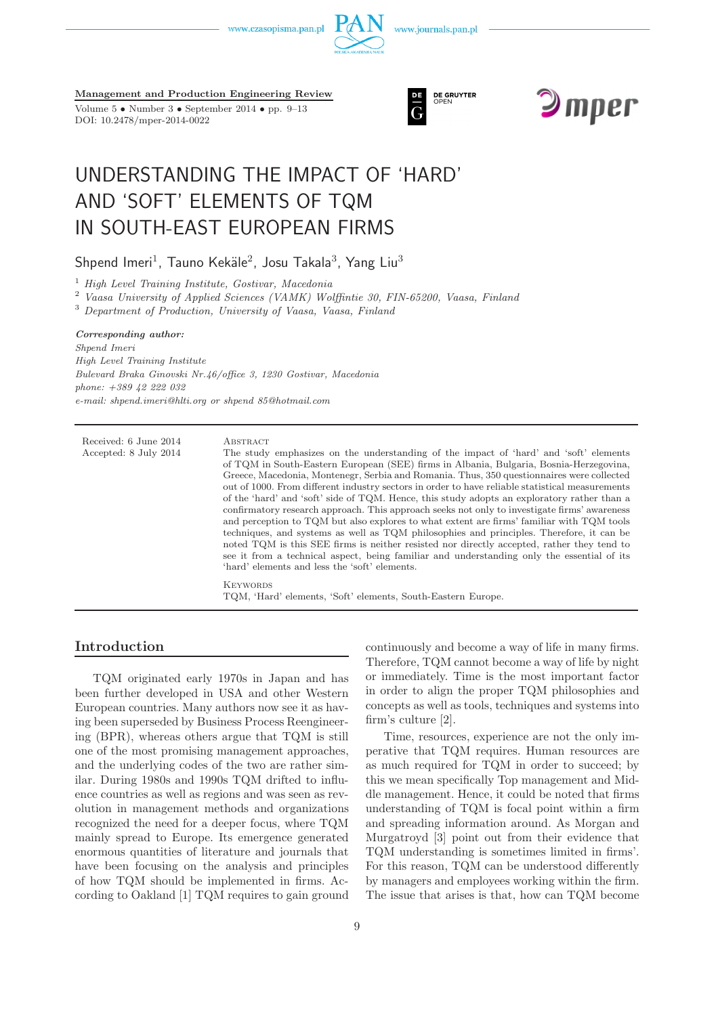



**Management and Production Engineering Review**

Volume 5 • Number 3 • September 2014 • pp. 9–13 DOI: 10.2478/mper-2014-0022





# UNDERSTANDING THE IMPACT OF 'HARD' AND 'SOFT' ELEMENTS OF TQM IN SOUTH-EAST EUROPEAN FIRMS

 $Sh$ pend Imeri $^1$ , Tauno Kekäle $^2$ , Josu Takala $^3$ , Yang Liu $^3$ 

<sup>1</sup> *High Level Training Institute, Gostivar, Macedonia*

<sup>2</sup> *Vaasa University of Applied Sciences (VAMK) Wolffintie 30, FIN-65200, Vaasa, Finland*

<sup>3</sup> *Department of Production, University of Vaasa, Vaasa, Finland*

### *Corresponding author:*

*Shpend Imeri High Level Training Institute Bulevard Braka Ginovski Nr.46/office 3, 1230 Gostivar, Macedonia phone: +389 42 222 032 e-mail: shpend.imeri@hlti.org or shpend 85@hotmail.com*

Received: 6 June 2014 ABSTRACT<br>Accepted: 8 July 2014 The study

The study emphasizes on the understanding of the impact of 'hard' and 'soft' elements of TQM in South-Eastern European (SEE) firms in Albania, Bulgaria, Bosnia-Herzegovina, Greece, Macedonia, Montenegr, Serbia and Romania. Thus, 350 questionnaires were collected out of 1000. From different industry sectors in order to have reliable statistical measurements of the 'hard' and 'soft' side of TQM. Hence, this study adopts an exploratory rather than a confirmatory research approach. This approach seeks not only to investigate firms' awareness and perception to TQM but also explores to what extent are firms' familiar with TQM tools techniques, and systems as well as TQM philosophies and principles. Therefore, it can be noted TQM is this SEE firms is neither resisted nor directly accepted, rather they tend to see it from a technical aspect, being familiar and understanding only the essential of its 'hard' elements and less the 'soft' elements.

**KEYWORDS** TQM, 'Hard' elements, 'Soft' elements, South-Eastern Europe.

# **Introduction**

TQM originated early 1970s in Japan and has been further developed in USA and other Western European countries. Many authors now see it as having been superseded by Business Process Reengineering (BPR), whereas others argue that TQM is still one of the most promising management approaches, and the underlying codes of the two are rather similar. During 1980s and 1990s TQM drifted to influence countries as well as regions and was seen as revolution in management methods and organizations recognized the need for a deeper focus, where TQM mainly spread to Europe. Its emergence generated enormous quantities of literature and journals that have been focusing on the analysis and principles of how TQM should be implemented in firms. According to Oakland [1] TQM requires to gain ground

continuously and become a way of life in many firms. Therefore, TQM cannot become a way of life by night or immediately. Time is the most important factor in order to align the proper TQM philosophies and concepts as well as tools, techniques and systems into firm's culture [2].

Time, resources, experience are not the only imperative that TQM requires. Human resources are as much required for TQM in order to succeed; by this we mean specifically Top management and Middle management. Hence, it could be noted that firms understanding of TQM is focal point within a firm and spreading information around. As Morgan and Murgatroyd [3] point out from their evidence that TQM understanding is sometimes limited in firms'. For this reason, TQM can be understood differently by managers and employees working within the firm. The issue that arises is that, how can TQM become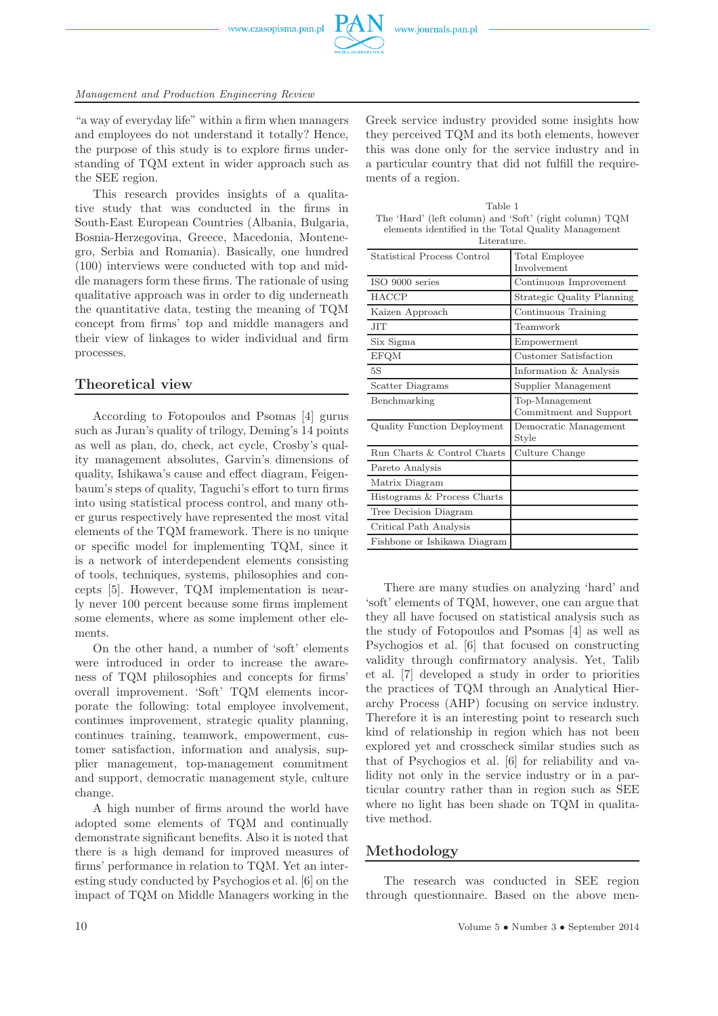

"a way of everyday life" within a firm when managers and employees do not understand it totally? Hence, the purpose of this study is to explore firms understanding of TQM extent in wider approach such as the SEE region.

This research provides insights of a qualitative study that was conducted in the firms in South-East European Countries (Albania, Bulgaria, Bosnia-Herzegovina, Greece, Macedonia, Montenegro, Serbia and Romania). Basically, one hundred (100) interviews were conducted with top and middle managers form these firms. The rationale of using qualitative approach was in order to dig underneath the quantitative data, testing the meaning of TQM concept from firms' top and middle managers and their view of linkages to wider individual and firm processes.

# **Theoretical view**

According to Fotopoulos and Psomas [4] gurus such as Juran's quality of trilogy, Deming's 14 points as well as plan, do, check, act cycle, Crosby's quality management absolutes, Garvin's dimensions of quality, Ishikawa's cause and effect diagram, Feigenbaum's steps of quality, Taguchi's effort to turn firms into using statistical process control, and many other gurus respectively have represented the most vital elements of the TQM framework. There is no unique or specific model for implementing TQM, since it is a network of interdependent elements consisting of tools, techniques, systems, philosophies and concepts [5]. However, TQM implementation is nearly never 100 percent because some firms implement some elements, where as some implement other elements.

On the other hand, a number of 'soft' elements were introduced in order to increase the awareness of TQM philosophies and concepts for firms' overall improvement. 'Soft' TQM elements incorporate the following: total employee involvement, continues improvement, strategic quality planning, continues training, teamwork, empowerment, customer satisfaction, information and analysis, supplier management, top-management commitment and support, democratic management style, culture change.

A high number of firms around the world have adopted some elements of TQM and continually demonstrate significant benefits. Also it is noted that there is a high demand for improved measures of firms' performance in relation to TQM. Yet an interesting study conducted by Psychogios et al. [6] on the impact of TQM on Middle Managers working in the

Greek service industry provided some insights how they perceived TQM and its both elements, however this was done only for the service industry and in a particular country that did not fulfill the requirements of a region.

Table 1

| The 'Hard' (left column) and 'Soft' (right column) TQM<br>elements identified in the Total Quality Management<br>Literature. |                                          |  |  |
|------------------------------------------------------------------------------------------------------------------------------|------------------------------------------|--|--|
| Statistical Process Control                                                                                                  | Total Employee<br>Involvement            |  |  |
| ISO 9000 series                                                                                                              | Continuous Improvement                   |  |  |
| <b>HACCP</b>                                                                                                                 | Strategic Quality Planning               |  |  |
| Kaizen Approach                                                                                                              | Continuous Training                      |  |  |
| <b>JIT</b>                                                                                                                   | Teamwork                                 |  |  |
| Six Sigma                                                                                                                    | Empowerment                              |  |  |
| EFQM                                                                                                                         | Customer Satisfaction                    |  |  |
| 5S                                                                                                                           | Information & Analysis                   |  |  |
| Scatter Diagrams                                                                                                             | Supplier Management                      |  |  |
| Benchmarking                                                                                                                 | Top-Management<br>Commitment and Support |  |  |
| Quality Function Deployment                                                                                                  | Democratic Management<br>Style           |  |  |
| Run Charts & Control Charts                                                                                                  | Culture Change                           |  |  |
| Pareto Analysis                                                                                                              |                                          |  |  |
| Matrix Diagram                                                                                                               |                                          |  |  |
| Histograms & Process Charts                                                                                                  |                                          |  |  |

There are many studies on analyzing 'hard' and 'soft' elements of TQM, however, one can argue that they all have focused on statistical analysis such as the study of Fotopoulos and Psomas [4] as well as Psychogios et al. [6] that focused on constructing validity through confirmatory analysis. Yet, Talib et al. [7] developed a study in order to priorities the practices of TQM through an Analytical Hierarchy Process (AHP) focusing on service industry. Therefore it is an interesting point to research such kind of relationship in region which has not been explored yet and crosscheck similar studies such as that of Psychogios et al. [6] for reliability and validity not only in the service industry or in a particular country rather than in region such as SEE where no light has been shade on TQM in qualitative method.

# **Methodology**

Tree Decision Diagram Critical Path Analysis Fishbone or Ishikawa Diagram

The research was conducted in SEE region through questionnaire. Based on the above men-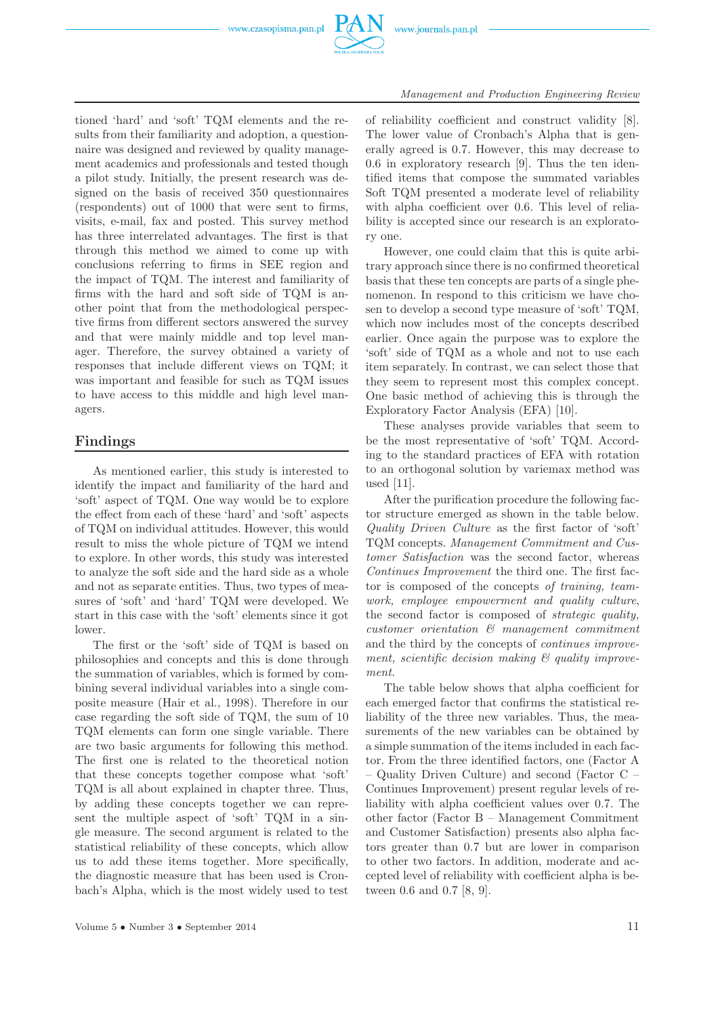

#### *Management and Production Engineering Review*

tioned 'hard' and 'soft' TQM elements and the results from their familiarity and adoption, a questionnaire was designed and reviewed by quality management academics and professionals and tested though a pilot study. Initially, the present research was designed on the basis of received 350 questionnaires (respondents) out of 1000 that were sent to firms, visits, e-mail, fax and posted. This survey method has three interrelated advantages. The first is that through this method we aimed to come up with conclusions referring to firms in SEE region and the impact of TQM. The interest and familiarity of firms with the hard and soft side of TQM is another point that from the methodological perspective firms from different sectors answered the survey and that were mainly middle and top level manager. Therefore, the survey obtained a variety of responses that include different views on TQM; it was important and feasible for such as TQM issues to have access to this middle and high level managers.

# **Findings**

As mentioned earlier, this study is interested to identify the impact and familiarity of the hard and 'soft' aspect of TQM. One way would be to explore the effect from each of these 'hard' and 'soft' aspects of TQM on individual attitudes. However, this would result to miss the whole picture of TQM we intend to explore. In other words, this study was interested to analyze the soft side and the hard side as a whole and not as separate entities. Thus, two types of measures of 'soft' and 'hard' TQM were developed. We start in this case with the 'soft' elements since it got lower.

The first or the 'soft' side of TQM is based on philosophies and concepts and this is done through the summation of variables, which is formed by combining several individual variables into a single composite measure (Hair et al., 1998). Therefore in our case regarding the soft side of TQM, the sum of 10 TQM elements can form one single variable. There are two basic arguments for following this method. The first one is related to the theoretical notion that these concepts together compose what 'soft' TQM is all about explained in chapter three. Thus, by adding these concepts together we can represent the multiple aspect of 'soft' TQM in a single measure. The second argument is related to the statistical reliability of these concepts, which allow us to add these items together. More specifically, the diagnostic measure that has been used is Cronbach's Alpha, which is the most widely used to test

of reliability coefficient and construct validity [8]. The lower value of Cronbach's Alpha that is generally agreed is 0.7. However, this may decrease to 0.6 in exploratory research [9]. Thus the ten identified items that compose the summated variables Soft TQM presented a moderate level of reliability with alpha coefficient over 0.6. This level of reliability is accepted since our research is an exploratory one.

However, one could claim that this is quite arbitrary approach since there is no confirmed theoretical basis that these ten concepts are parts of a single phenomenon. In respond to this criticism we have chosen to develop a second type measure of 'soft' TQM, which now includes most of the concepts described earlier. Once again the purpose was to explore the 'soft' side of TQM as a whole and not to use each item separately. In contrast, we can select those that they seem to represent most this complex concept. One basic method of achieving this is through the Exploratory Factor Analysis (EFA) [10].

These analyses provide variables that seem to be the most representative of 'soft' TQM. According to the standard practices of EFA with rotation to an orthogonal solution by variemax method was used [11].

After the purification procedure the following factor structure emerged as shown in the table below. *Quality Driven Culture* as the first factor of 'soft' TQM concepts. *Management Commitment and Customer Satisfaction* was the second factor, whereas *Continues Improvement* the third one. The first factor is composed of the concepts *of training, teamwork, employee empowerment and quality culture*, the second factor is composed of *strategic quality, customer orientation & management commitment* and the third by the concepts of *continues improvement, scientific decision making & quality improvement*.

The table below shows that alpha coefficient for each emerged factor that confirms the statistical reliability of the three new variables. Thus, the measurements of the new variables can be obtained by a simple summation of the items included in each factor. From the three identified factors, one (Factor A – Quality Driven Culture) and second (Factor C – Continues Improvement) present regular levels of reliability with alpha coefficient values over 0.7. The other factor (Factor B – Management Commitment and Customer Satisfaction) presents also alpha factors greater than 0.7 but are lower in comparison to other two factors. In addition, moderate and accepted level of reliability with coefficient alpha is between 0.6 and 0.7 [8, 9].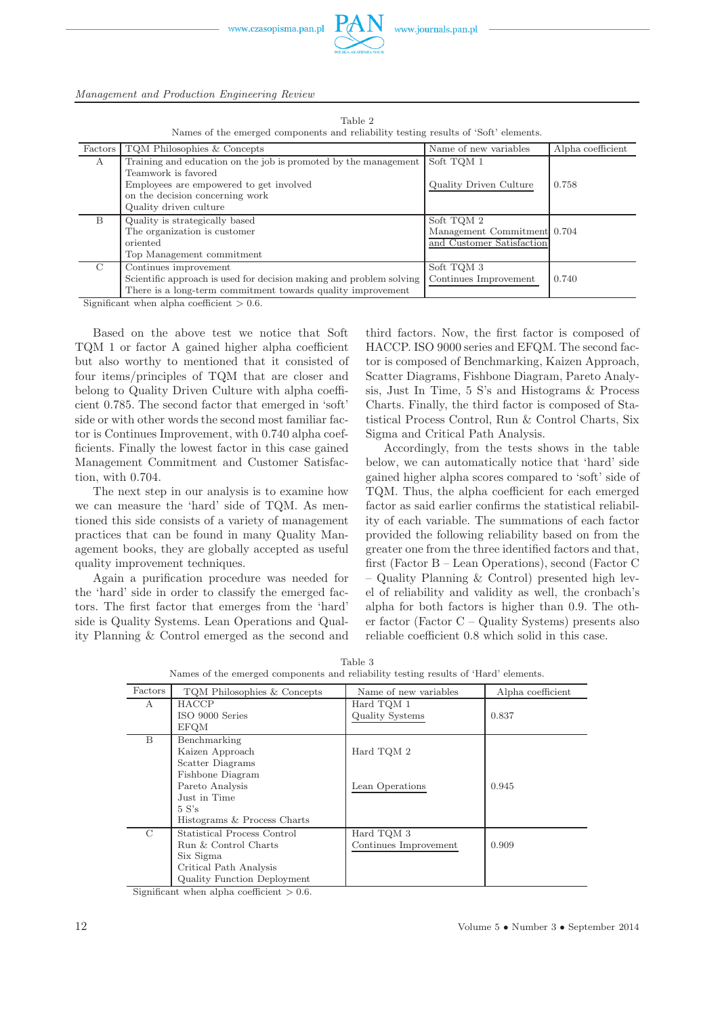

*Management and Production Engineering Review*

| Table 2<br>Names of the emerged components and reliability testing results of 'Soft' elements. |                                                                     |                             |                   |  |  |
|------------------------------------------------------------------------------------------------|---------------------------------------------------------------------|-----------------------------|-------------------|--|--|
| Factors                                                                                        | TQM Philosophies & Concepts                                         | Name of new variables       | Alpha coefficient |  |  |
| $\mathsf{A}$                                                                                   | Training and education on the job is promoted by the management     | Soft TQM 1                  |                   |  |  |
|                                                                                                | Teamwork is favored                                                 |                             |                   |  |  |
|                                                                                                | Employees are empowered to get involved                             | Quality Driven Culture      | 0.758             |  |  |
|                                                                                                | on the decision concerning work                                     |                             |                   |  |  |
|                                                                                                | Quality driven culture                                              |                             |                   |  |  |
| B                                                                                              | Quality is strategically based                                      | Soft TQM 2                  |                   |  |  |
|                                                                                                | The organization is customer                                        | Management Commitment 0.704 |                   |  |  |
|                                                                                                | oriented                                                            | and Customer Satisfaction   |                   |  |  |
|                                                                                                | Top Management commitment                                           |                             |                   |  |  |
| $\mathcal{C}$                                                                                  | Continues improvement                                               | Soft TQM 3                  |                   |  |  |
|                                                                                                | Scientific approach is used for decision making and problem solving | Continues Improvement       | 0.740             |  |  |
|                                                                                                | There is a long-term commitment towards quality improvement         |                             |                   |  |  |

Significant when alpha coefficient  $> 0.6$ .

Based on the above test we notice that Soft TQM 1 or factor A gained higher alpha coefficient but also worthy to mentioned that it consisted of four items/principles of TQM that are closer and belong to Quality Driven Culture with alpha coefficient 0.785. The second factor that emerged in 'soft' side or with other words the second most familiar factor is Continues Improvement, with 0.740 alpha coefficients. Finally the lowest factor in this case gained Management Commitment and Customer Satisfaction, with 0.704.

The next step in our analysis is to examine how we can measure the 'hard' side of TQM. As mentioned this side consists of a variety of management practices that can be found in many Quality Management books, they are globally accepted as useful quality improvement techniques.

Again a purification procedure was needed for the 'hard' side in order to classify the emerged factors. The first factor that emerges from the 'hard' side is Quality Systems. Lean Operations and Quality Planning & Control emerged as the second and third factors. Now, the first factor is composed of HACCP. ISO 9000 series and EFQM. The second factor is composed of Benchmarking, Kaizen Approach, Scatter Diagrams, Fishbone Diagram, Pareto Analysis, Just In Time, 5 S's and Histograms & Process Charts. Finally, the third factor is composed of Statistical Process Control, Run & Control Charts, Six Sigma and Critical Path Analysis.

Accordingly, from the tests shows in the table below, we can automatically notice that 'hard' side gained higher alpha scores compared to 'soft' side of TQM. Thus, the alpha coefficient for each emerged factor as said earlier confirms the statistical reliability of each variable. The summations of each factor provided the following reliability based on from the greater one from the three identified factors and that, first (Factor B – Lean Operations), second (Factor C – Quality Planning & Control) presented high level of reliability and validity as well, the cronbach's alpha for both factors is higher than 0.9. The other factor (Factor C – Quality Systems) presents also reliable coefficient 0.8 which solid in this case.

| ivalies of the emerged components and renability testing results of frard elements.                              |                             |                       |                   |  |
|------------------------------------------------------------------------------------------------------------------|-----------------------------|-----------------------|-------------------|--|
| Factors                                                                                                          | TQM Philosophies & Concepts | Name of new variables | Alpha coefficient |  |
| A                                                                                                                | HACCP                       | Hard TQM 1            |                   |  |
|                                                                                                                  | ISO 9000 Series             | Quality Systems       | 0.837             |  |
|                                                                                                                  | <b>EFQM</b>                 |                       |                   |  |
| B                                                                                                                | Benchmarking                |                       |                   |  |
|                                                                                                                  | Kaizen Approach             | Hard TQM 2            |                   |  |
|                                                                                                                  | Scatter Diagrams            |                       |                   |  |
|                                                                                                                  | Fishbone Diagram            |                       |                   |  |
|                                                                                                                  | Pareto Analysis             | Lean Operations       | 0.945             |  |
|                                                                                                                  | Just in Time                |                       |                   |  |
|                                                                                                                  | 5 S's                       |                       |                   |  |
|                                                                                                                  | Histograms & Process Charts |                       |                   |  |
| $\mathcal{C}$                                                                                                    | Statistical Process Control | Hard TQM 3            |                   |  |
|                                                                                                                  | Run & Control Charts        | Continues Improvement | 0.909             |  |
|                                                                                                                  | Six Sigma                   |                       |                   |  |
|                                                                                                                  | Critical Path Analysis      |                       |                   |  |
|                                                                                                                  | Quality Function Deployment |                       |                   |  |
| $\alpha$ $\alpha$ $\beta$ $\beta$ $\gamma$ $\beta$ $\gamma$ $\gamma$ $\gamma$ $\gamma$ $\alpha$ $\beta$ $\gamma$ |                             |                       |                   |  |

Table 3  $N_A = -\frac{1}{\sqrt{1-\frac{1}{2}}}\left(1-\frac{1}{\sqrt{1-\frac{1}{2}}}\right)$  the emergents and results of 'Hard' elements.

Significant when alpha coefficient  $> 0.6$ .